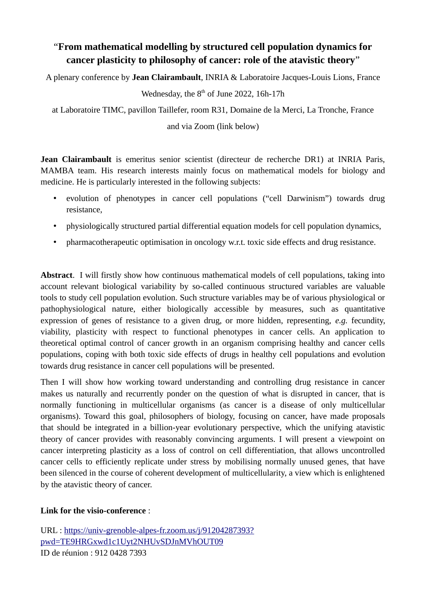# "**From mathematical modelling by structured cell population dynamics for cancer plasticity to philosophy of cancer: role of the atavistic theory**"

A plenary conference by **Jean Clairambault**, INRIA & Laboratoire Jacques-Louis Lions, France

# Wednesday, the  $8<sup>th</sup>$  of June 2022, 16h-17h

at Laboratoire TIMC, pavillon Taillefer, room R31, Domaine de la Merci, La Tronche, France

#### and via Zoom (link below)

**Jean Clairambault** is emeritus senior scientist (directeur de recherche DR1) at INRIA Paris, MAMBA team. His research interests mainly focus on mathematical models for biology and medicine. He is particularly interested in the following subjects:

- evolution of phenotypes in cancer cell populations ("cell Darwinism") towards drug resistance,
- physiologically structured partial differential equation models for cell population dynamics,
- pharmacotherapeutic optimisation in oncology w.r.t. toxic side effects and drug resistance.

**Abstract**. I will firstly show how continuous mathematical models of cell populations, taking into account relevant biological variability by so-called continuous structured variables are valuable tools to study cell population evolution. Such structure variables may be of various physiological or pathophysiological nature, either biologically accessible by measures, such as quantitative expression of genes of resistance to a given drug, or more hidden, representing, *e.g.* fecundity, viability, plasticity with respect to functional phenotypes in cancer cells. An application to theoretical optimal control of cancer growth in an organism comprising healthy and cancer cells populations, coping with both toxic side effects of drugs in healthy cell populations and evolution towards drug resistance in cancer cell populations will be presented.

Then I will show how working toward understanding and controlling drug resistance in cancer makes us naturally and recurrently ponder on the question of what is disrupted in cancer, that is normally functioning in multicellular organisms (as cancer is a disease of only multicellular organisms). Toward this goal, philosophers of biology, focusing on cancer, have made proposals that should be integrated in a billion-year evolutionary perspective, which the unifying atavistic theory of cancer provides with reasonably convincing arguments. I will present a viewpoint on cancer interpreting plasticity as a loss of control on cell differentiation, that allows uncontrolled cancer cells to efficiently replicate under stress by mobilising normally unused genes, that have been silenced in the course of coherent development of multicellularity, a view which is enlightened by the atavistic theory of cancer.

## **Link for the visio-conference** :

URL : [https://univ-grenoble-alpes-fr.zoom.us/j/91204287393?](https://univ-grenoble-alpes-fr.zoom.us/j/91204287393?pwd=TE9HRGxwd1c1Uyt2NHUvSDJnMVhOUT09) [pwd=TE9HRGxwd1c1Uyt2NHUvSDJnMVhOUT09](https://univ-grenoble-alpes-fr.zoom.us/j/91204287393?pwd=TE9HRGxwd1c1Uyt2NHUvSDJnMVhOUT09) ID de réunion : 912 0428 7393